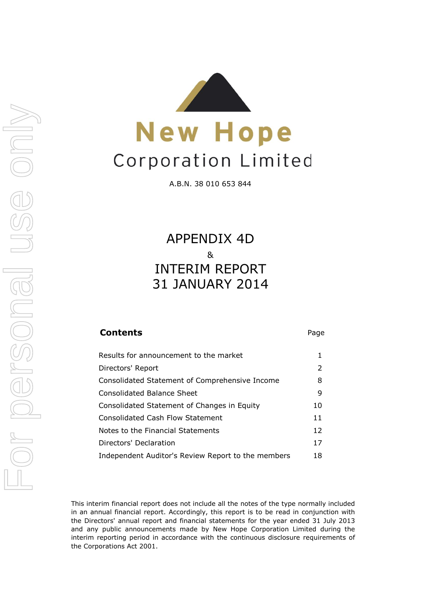



A.B.N. 38 010 653 844

31 JANUARY 2014 APPENDIX 4D & INTERIM REPORT

| <b>Contents</b>                                    | Page                  |
|----------------------------------------------------|-----------------------|
| Results for announcement to the market             | 1                     |
| Directors' Report                                  | $\mathbf{2}^{\prime}$ |
| Consolidated Statement of Comprehensive Income     | 8                     |
| <b>Consolidated Balance Sheet</b>                  | 9                     |
| Consolidated Statement of Changes in Equity        | 10                    |
| <b>Consolidated Cash Flow Statement</b>            | 11                    |
| Notes to the Financial Statements                  | 12                    |
| Directors' Declaration                             | 17                    |
| Independent Auditor's Review Report to the members | 18                    |

This interim financial report does not include all the notes of the type normally included in an annual financial report. Accordingly, this report is to be read in conjunction with the Directors' annual report and financial statements for the year ended 31 July 2013 and any public announcements made by New Hope Corporation Limited during the interim reporting period in accordance with the continuous disclosure requirements of the Corporations Act 2001.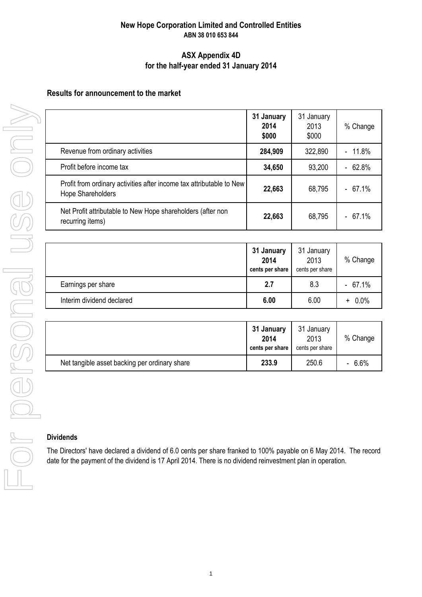## **New Hope Corporation Limited and Controlled Entities ABN 38 010 653 844**

### **ASX Appendix 4D for the half-year ended 31 January 2014**

## **Results for announcement to the market**

|                                                                                           | 31 January<br>2014<br>\$000 | 31 January<br>2013<br>\$000 | % Change                          |
|-------------------------------------------------------------------------------------------|-----------------------------|-----------------------------|-----------------------------------|
| Revenue from ordinary activities                                                          | 284,909                     | 322,890                     | 11.8%<br>$\overline{\phantom{a}}$ |
| Profit before income tax                                                                  | 34,650                      | 93,200                      | 62.8%<br>$\overline{\phantom{0}}$ |
| Profit from ordinary activities after income tax attributable to New<br>Hope Shareholders | 22,663                      | 68,795                      | $-67.1%$                          |
| Net Profit attributable to New Hope shareholders (after non<br>recurring items)           | 22,663                      | 68,795                      | $-67.1%$                          |

|                           | 31 January<br>2014<br>cents per share | 31 January<br>2013<br>cents per share | % Change  |
|---------------------------|---------------------------------------|---------------------------------------|-----------|
| Earnings per share        | 2.7                                   | 8.3                                   | $-67.1%$  |
| Interim dividend declared | 6.00                                  | 6.00                                  | $+ 0.0\%$ |

|                                               | 31 January<br>2014<br>cents per share | 31 January<br>2013<br>cents per share | % Change |
|-----------------------------------------------|---------------------------------------|---------------------------------------|----------|
| Net tangible asset backing per ordinary share | 233.9                                 | 250.6                                 | $-6.6%$  |

#### **Dividends**

The Directors' have declared a dividend of 6.0 cents per share franked to 100% payable on 6 May 2014. The record date for the payment of the dividend is 17 April 2014. There is no dividend reinvestment plan in operation.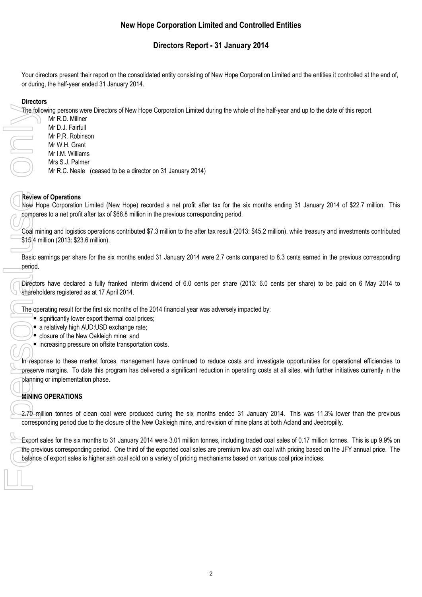# **Directors Report - 31 January 2014**

Your directors present their report on the consolidated entity consisting of New Hope Corporation Limited and the entities it controlled at the end of, or during, the half-year ended 31 January 2014.

### **Directors**

The following persons were Directors of New Hope Corporation Limited during the whole of the half-year and up to the date of this report.

Mr R.D. Millner Mr D.J. Fairfull Mr P.R. Robinson Mr W.H. Grant Mr I.M. Williams Mrs S.J. Palmer Mr R.C. Neale (ceased to be a director on 31 January 2014)

#### **Review of Operations**

New Hope Corporation Limited (New Hope) recorded a net profit after tax for the six months ending 31 January 2014 of \$22.7 million. This compares to a net profit after tax of \$68.8 million in the previous corresponding period.

Coal mining and logistics operations contributed \$7.3 million to the after tax result (2013: \$45.2 million), while treasury and investments contributed \$15.4 million (2013: \$23.6 million).

Basic earnings per share for the six months ended 31 January 2014 were 2.7 cents compared to 8.3 cents earned in the previous corresponding period.

Directors have declared a fully franked interim dividend of 6.0 cents per share (2013: 6.0 cents per share) to be paid on 6 May 2014 to shareholders registered as at 17 April 2014.

The operating result for the first six months of the 2014 financial year was adversely impacted by:

- significantly lower export thermal coal prices;
- a relatively high AUD:USD exchange rate;
- $\bullet$  closure of the New Oakleigh mine; and
- increasing pressure on offsite transportation costs.

In response to these market forces, management have continued to reduce costs and investigate opportunities for operational efficiencies to preserve margins. To date this program has delivered a significant reduction in operating costs at all sites, with further initiatives currently in the planning or implementation phase.

# **MINING OPERATIONS**

2.70 million tonnes of clean coal were produced during the six months ended 31 January 2014. This was 11.3% lower than the previous corresponding period due to the closure of the New Oakleigh mine, and revision of mine plans at both Acland and Jeebropilly.

Export sales for the six months to 31 January 2014 were 3.01 million tonnes, including traded coal sales of 0.17 million tonnes. This is up 9.9% on the previous corresponding period. One third of the exported coal sales are premium low ash coal with pricing based on the JFY annual price. The balance of export sales is higher ash coal sold on a variety of pricing mechanisms based on various coal price indices. The foll<br>
Review<br>
He compar<br>
Coal mi<br>
St5.4 m<br>
Basic e period.<br>
The ope<br>
Starehold<br>
The ope<br>
Starehold<br>
Charehold<br>
Charehold<br>
Starehold<br>
Charehold<br>
Charehold<br>
Charehold<br>
Charehold<br>
Charehold<br>
Charehold<br>
Charehold<br>
Charehol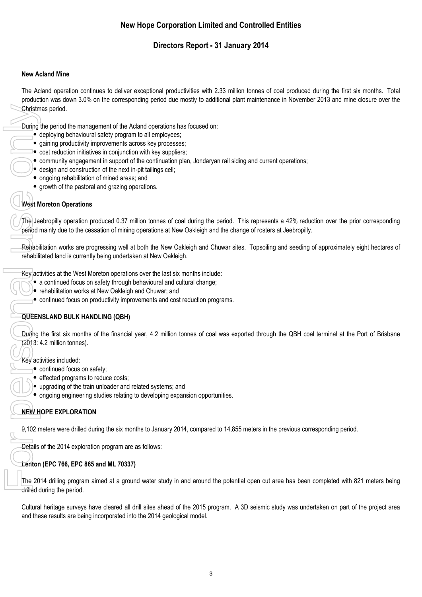# **Directors Report - 31 January 2014**

#### **New Acland Mine**

The Acland operation continues to deliver exceptional productivities with 2.33 million tonnes of coal produced during the first six months. Total production was down 3.0% on the corresponding period due mostly to additional plant maintenance in November 2013 and mine closure over the Christmas period.

During the period the management of the Acland operations has focused on:

- deploying behavioural safety program to all employees;
- gaining productivity improvements across key processes;
- $\bullet$  cost reduction initiatives in conjunction with key suppliers;
- community engagement in support of the continuation plan, Jondaryan rail siding and current operations;
- design and construction of the next in-pit tailings cell;
- ongoing rehabilitation of mined areas; and
- growth of the pastoral and grazing operations.

#### **West Moreton Operations**

The Jeebropilly operation produced 0.37 million tonnes of coal during the period. This represents a 42% reduction over the prior corresponding period mainly due to the cessation of mining operations at New Oakleigh and the change of rosters at Jeebropilly.

Rehabilitation works are progressing well at both the New Oakleigh and Chuwar sites. Topsoiling and seeding of approximately eight hectares of rehabilitated land is currently being undertaken at New Oakleigh. For During<br>During<br>During<br>Couse of The Jevest M<br>Period r<br>Rehabili<br>Rehabili<br>Rehabili<br>Rehabili<br>Rehabili<br>Rehabili<br>Rehabili<br>Rehabili<br>Rehabili<br>Rehabili<br>Rehabili<br>Rehabili<br>Rehabili<br>Rehabili<br>Rehabili<br>Rehabili<br>Rehabili<br>Rehabili<br>Reha

Key activities at the West Moreton operations over the last six months include:

- a continued focus on safety through behavioural and cultural change;
- $\bullet$  rehabilitation works at New Oakleigh and Chuwar; and
- $\bullet$  continued focus on productivity improvements and cost reduction programs.

#### **QUEENSLAND BULK HANDLING (QBH)**

During the first six months of the financial year, 4.2 million tonnes of coal was exported through the QBH coal terminal at the Port of Brisbane (2013: 4.2 million tonnes).

#### Key activities included:

- continued focus on safety;
- effected programs to reduce costs:
- upgrading of the train unloader and related systems; and
- ongoing engineering studies relating to developing expansion opportunities.

### **NEW HOPE EXPLORATION**

9,102 meters were drilled during the six months to January 2014, compared to 14,855 meters in the previous corresponding period.

Details of the 2014 exploration program are as follows:

#### **Lenton (EPC 766, EPC 865 and ML 70337)**

The 2014 drilling program aimed at a ground water study in and around the potential open cut area has been completed with 821 meters being drilled during the period.

Cultural heritage surveys have cleared all drill sites ahead of the 2015 program. A 3D seismic study was undertaken on part of the project area and these results are being incorporated into the 2014 geological model.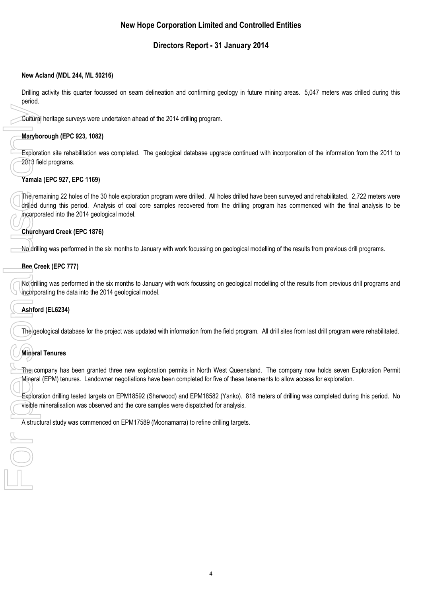# **Directors Report - 31 January 2014**

#### **New Acland (MDL 244, ML 50216)**

Drilling activity this quarter focussed on seam delineation and confirming geology in future mining areas. 5,047 meters was drilled during this period.

Cultural heritage surveys were undertaken ahead of the 2014 drilling program.

### **Maryborough (EPC 923, 1082)**

Exploration site rehabilitation was completed. The geological database upgrade continued with incorporation of the information from the 2011 to 2013 field programs.

### **Yamala (EPC 927, EPC 1169)**

The remaining 22 holes of the 30 hole exploration program were drilled. All holes drilled have been surveyed and rehabilitated. 2,722 meters were drilled during this period. Analysis of coal core samples recovered from the drilling program has commenced with the final analysis to be incorporated into the 2014 geological model. Cultural<br>
Marybot<br>
Explora<br>
2013 fie<br>
Yamala<br>
The removement<br>
Church<br>
No drilli<br>
Bee Cr<br>
No drilli<br>
Bee Cr<br>
No drilli<br>
Bee Cr<br>
No drilli<br>
Resplora<br>
Ashfor<br>
The gee<br>
Mineral<br>
Explora<br>
Nineral<br>
Bexplora<br>
Skylora<br>
Ashfor<br>
Nin

### **Churchyard Creek (EPC 1876)**

No drilling was performed in the six months to January with work focussing on geological modelling of the results from previous drill programs.

### **Bee Creek (EPC 777)**

No drilling was performed in the six months to January with work focussing on geological modelling of the results from previous drill programs and incorporating the data into the 2014 geological model.

### **Ashford (EL6234)**

The geological database for the project was updated with information from the field program. All drill sites from last drill program were rehabilitated.

### **Mineral Tenures**

 $\bigcirc$ 

The company has been granted three new exploration permits in North West Queensland. The company now holds seven Exploration Permit Mineral (EPM) tenures. Landowner negotiations have been completed for five of these tenements to allow access for exploration.

Exploration drilling tested targets on EPM18592 (Sherwood) and EPM18582 (Yanko). 818 meters of drilling was completed during this period. No visible mineralisation was observed and the core samples were dispatched for analysis.

A structural study was commenced on EPM17589 (Moonamarra) to refine drilling targets.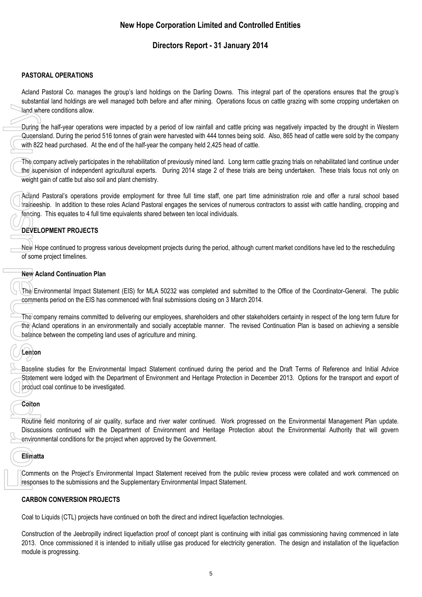# **Directors Report - 31 January 2014**

### **PASTORAL OPERATIONS**

Acland Pastoral Co. manages the group's land holdings on the Darling Downs. This integral part of the operations ensures that the group's substantial land holdings are well managed both before and after mining. Operations focus on cattle grazing with some cropping undertaken on land where conditions allow.

During the half-year operations were impacted by a period of low rainfall and cattle pricing was negatively impacted by the drought in Western Queensland. During the period 516 tonnes of grain were harvested with 444 tonnes being sold. Also, 865 head of cattle were sold by the company with 822 head purchased. At the end of the half-year the company held 2,425 head of cattle.

The company actively participates in the rehabilitation of previously mined land. Long term cattle grazing trials on rehabilitated land continue under the supervision of independent agricultural experts. During 2014 stage 2 of these trials are being undertaken. These trials focus not only on weight gain of cattle but also soil and plant chemistry. For personal unity<br>
For personal use of the sup<br>
Weight<br>
The core weight<br>
Weight<br>
The core of some<br>
New Architector<br>
The Core of Some<br>
New Architector<br>
The Core of Some<br>
The Core of Solid Use of Salance<br>
Colton<br>
Baselin<br>
S

Acland Pastoral's operations provide employment for three full time staff, one part time administration role and offer a rural school based traineeship. In addition to these roles Acland Pastoral engages the services of numerous contractors to assist with cattle handling, cropping and fencing. This equates to 4 full time equivalents shared between ten local individuals.

# **DEVELOPMENT PROJECTS**

New Hope continued to progress various development projects during the period, although current market conditions have led to the rescheduling of some project timelines.

#### **New Acland Continuation Plan**

The Environmental Impact Statement (EIS) for MLA 50232 was completed and submitted to the Office of the Coordinator-General. The public comments period on the EIS has commenced with final submissions closing on 3 March 2014.

The company remains committed to delivering our employees, shareholders and other stakeholders certainty in respect of the long term future for the Acland operations in an environmentally and socially acceptable manner. The revised Continuation Plan is based on achieving a sensible balance between the competing land uses of agriculture and mining.

# **Lenton**

Baseline studies for the Environmental Impact Statement continued during the period and the Draft Terms of Reference and Initial Advice Statement were lodged with the Department of Environment and Heritage Protection in December 2013. Options for the transport and export of product coal continue to be investigated.

### **Colton**

Routine field monitoring of air quality, surface and river water continued. Work progressed on the Environmental Management Plan update. Discussions continued with the Department of Environment and Heritage Protection about the Environmental Authority that will govern environmental conditions for the project when approved by the Government.

### **Elimatta**

Comments on the Project's Environmental Impact Statement received from the public review process were collated and work commenced on responses to the submissions and the Supplementary Environmental Impact Statement.

#### **CARBON CONVERSION PROJECTS**

Coal to Liquids (CTL) projects have continued on both the direct and indirect liquefaction technologies.

Construction of the Jeebropilly indirect liquefaction proof of concept plant is continuing with initial gas commissioning having commenced in late 2013. Once commissioned it is intended to initially utilise gas produced for electricity generation. The design and installation of the liquefaction module is progressing.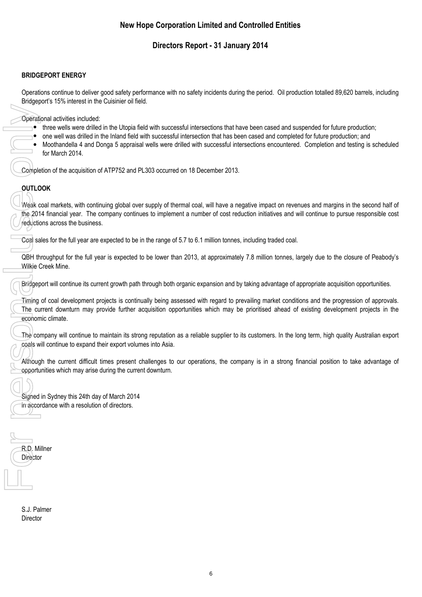# **Directors Report - 31 January 2014**

#### **BRIDGEPORT ENERGY**

Operations continue to deliver good safety performance with no safety incidents during the period. Oil production totalled 89,620 barrels, including Bridgeport's 15% interest in the Cuisinier oil field.

Operational activities included:

- i three wells were drilled in the Utopia field with successful intersections that have been cased and suspended for future production;
- one well was drilled in the Inland field with successful intersection that has been cased and completed for future production; and
- $\bullet$ Moothandella 4 and Donga 5 appraisal wells were drilled with successful intersections encountered. Completion and testing is scheduled for March 2014.

Completion of the acquisition of ATP752 and PL303 occurred on 18 December 2013.

### **OUTLOOK**

Weak coal markets, with continuing global over supply of thermal coal, will have a negative impact on revenues and margins in the second half of the 2014 financial year. The company continues to implement a number of cost reduction initiatives and will continue to pursue responsible cost reductions across the business.

Coal sales for the full year are expected to be in the range of 5.7 to 6.1 million tonnes, including traded coal.

QBH throughput for the full year is expected to be lower than 2013, at approximately 7.8 million tonnes, largely due to the closure of Peabody's Wilkie Creek Mine.

Bridgeport will continue its current growth path through both organic expansion and by taking advantage of appropriate acquisition opportunities.

Timing of coal development projects is continually being assessed with regard to prevailing market conditions and the progression of approvals. The current downturn may provide further acquisition opportunities which may be prioritised ahead of existing development projects in the economic climate.

The company will continue to maintain its strong reputation as a reliable supplier to its customers. In the long term, high quality Australian export coals will continue to expand their export volumes into Asia.

Although the current difficult times present challenges to our operations, the company is in a strong financial position to take advantage of opportunities which may arise during the current downturn.

Signed in Sydney this 24th day of March 2014 in accordance with a resolution of directors.

R.D. Millner Director Operation Compless Compless Compless Compless Compless Compless Compless Compless Compless Compless Compless Compless Compless Compless Compless Compless Compless Compless Compless Compless Complex Complex Complex Complex

> S.J. Palmer Director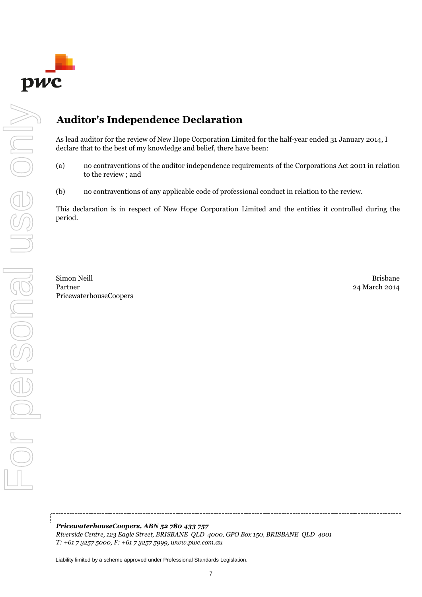

# **Auditor's Independence Declaration**

As lead auditor for the review of New Hope Corporation Limited for the half-year ended 31 January 2014, I declare that to the best of my knowledge and belief, there have been:

- (a) no contraventions of the auditor independence requirements of the Corporations Act 2001 in relation to the review ; and
- (b) no contraventions of any applicable code of professional conduct in relation to the review.

This declaration is in respect of New Hope Corporation Limited and the entities it controlled during the period.

Simon Neill Brisbane Partner 24 March 2014 PricewaterhouseCoopers

*PricewaterhouseCoopers, ABN 52 780 433 757 Riverside Centre, 123 Eagle Street, BRISBANE QLD 4000, GPO Box 150, BRISBANE QLD 4001 T: +61 7 3257 5000, F: +61 7 3257 5999, www.pwc.com.au*

Liability limited by a scheme approved under Professional Standards Legislation.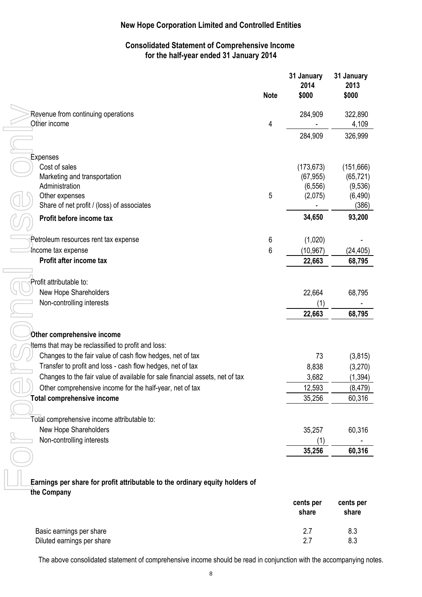# **Consolidated Statement of Comprehensive Income for the half-year ended 31 January 2014**

|                                                                              | <b>Note</b> | 31 January<br>2014<br>\$000 | 31 January<br>2013<br>\$000 |
|------------------------------------------------------------------------------|-------------|-----------------------------|-----------------------------|
| Revenue from continuing operations                                           |             | 284,909                     | 322,890                     |
| Other income                                                                 | 4           |                             | 4,109                       |
|                                                                              |             | 284,909                     | 326,999                     |
| <b>Expenses</b>                                                              |             |                             |                             |
| Cost of sales                                                                |             | (173, 673)                  | (151, 666)                  |
| Marketing and transportation                                                 |             | (67, 955)                   | (65, 721)                   |
| Administration                                                               |             | (6, 556)                    | (9,536)                     |
| Other expenses                                                               | 5           | (2,075)                     | (6, 490)                    |
| Share of net profit / (loss) of associates                                   |             |                             | (386)                       |
| Profit before income tax                                                     |             | 34,650                      | 93,200                      |
| Petroleum resources rent tax expense                                         | 6           | (1,020)                     |                             |
| Income tax expense                                                           | 6           | (10, 967)                   | (24, 405)                   |
| Profit after income tax                                                      |             | 22,663                      | 68,795                      |
|                                                                              |             |                             |                             |
| Profit attributable to:                                                      |             |                             |                             |
| New Hope Shareholders                                                        |             | 22,664                      | 68,795                      |
| Non-controlling interests                                                    |             |                             |                             |
|                                                                              |             | 22,663                      | 68,795                      |
| Other comprehensive income                                                   |             |                             |                             |
| tems that may be reclassified to profit and loss:                            |             |                             |                             |
| Changes to the fair value of cash flow hedges, net of tax                    |             | 73                          | (3, 815)                    |
| Transfer to profit and loss - cash flow hedges, net of tax                   |             | 8,838                       | (3,270)                     |
| Changes to the fair value of available for sale financial assets, net of tax |             | 3,682                       | (1, 394)                    |
| Other comprehensive income for the half-year, net of tax                     |             | 12,593                      | (8, 479)                    |
| <b>Total comprehensive income</b>                                            |             | 35,256                      | 60,316                      |
|                                                                              |             |                             |                             |
| Total comprehensive income attributable to:                                  |             |                             |                             |
| New Hope Shareholders                                                        |             | 35,257                      | 60,316                      |
| Non-controlling interests                                                    |             | (1)                         |                             |
|                                                                              |             | 35,256                      | 60,316                      |
| Earnings per share fer prefit attributable to the erdinary equity bolders of |             |                             |                             |

**Earnings per share for profit attributable to the ordinary equity holders of the Company**

|                            | cents per<br>share | cents per<br>share |
|----------------------------|--------------------|--------------------|
| Basic earnings per share   | 2.7                | 8.3                |
| Diluted earnings per share | 27                 | 8.3                |

The above consolidated statement of comprehensive income should be read in conjunction with the accompanying notes.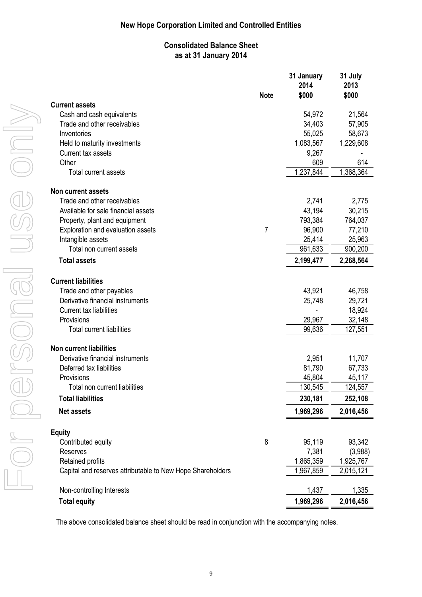# **Consolidated Balance Sheet as at 31 January 2014**

|                                                            | <b>Note</b>    | 31 January<br>2014<br>\$000 | 31 July<br>2013<br>\$000 |
|------------------------------------------------------------|----------------|-----------------------------|--------------------------|
| <b>Current assets</b>                                      |                |                             |                          |
| Cash and cash equivalents                                  |                | 54,972                      | 21,564                   |
| Trade and other receivables                                |                | 34,403                      | 57,905                   |
| Inventories                                                |                | 55,025                      | 58,673                   |
| Held to maturity investments                               |                | 1,083,567                   | 1,229,608                |
| Current tax assets                                         |                | 9,267                       |                          |
| Other                                                      |                | 609                         | 614                      |
| <b>Total current assets</b>                                |                | 1,237,844                   | 1,368,364                |
| <b>Non current assets</b>                                  |                |                             |                          |
| Trade and other receivables                                |                | 2,741                       | 2,775                    |
| Available for sale financial assets                        |                | 43,194                      | 30,215                   |
| Property, plant and equipment                              |                | 793,384                     | 764,037                  |
| Exploration and evaluation assets                          | $\overline{7}$ | 96,900                      | 77,210                   |
| Intangible assets                                          |                | 25,414                      | 25,963                   |
| Total non current assets                                   |                | 961,633                     | 900,200                  |
| <b>Total assets</b>                                        |                | 2,199,477                   | 2,268,564                |
| <b>Current liabilities</b>                                 |                |                             |                          |
| Trade and other payables                                   |                | 43,921                      | 46,758                   |
| Derivative financial instruments                           |                | 25,748                      | 29,721                   |
| <b>Current tax liabilities</b>                             |                |                             | 18,924                   |
| Provisions                                                 |                | 29,967                      | 32,148                   |
| <b>Total current liabilities</b>                           |                | 99,636                      | 127,551                  |
| <b>Non current liabilities</b>                             |                |                             |                          |
| Derivative financial instruments                           |                | 2,951                       | 11,707                   |
| Deferred tax liabilities                                   |                | 81,790                      | 67,733                   |
| Provisions                                                 |                | 45,804                      | 45,117                   |
| Total non current liabilities                              |                | 130,545                     | 124,557                  |
| <b>Total liabilities</b>                                   |                | 230,181                     | 252,108                  |
| <b>Net assets</b>                                          |                | 1,969,296                   | 2,016,456                |
| <b>Equity</b>                                              |                |                             |                          |
| Contributed equity                                         | 8              | 95,119                      | 93,342                   |
| <b>Reserves</b>                                            |                | 7,381                       | (3,988)                  |
| Retained profits                                           |                | 1,865,359                   | 1,925,767                |
| Capital and reserves attributable to New Hope Shareholders |                | 1,967,859                   | 2,015,121                |
| Non-controlling Interests                                  |                | 1,437                       | 1,335                    |
| <b>Total equity</b>                                        |                | 1,969,296                   | 2,016,456                |

The above consolidated balance sheet should be read in conjunction with the accompanying notes.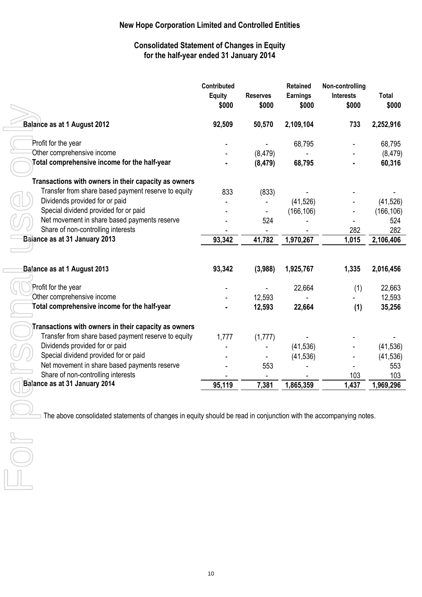# **Consolidated Statement of Changes in Equity for the half-year ended 31 January 2014**

|                                                      | Contributed<br><b>Equity</b><br>\$000 | <b>Reserves</b><br>\$000 | <b>Retained</b><br><b>Earnings</b><br>\$000 | Non-controlling<br><b>Interests</b><br>\$000 | Total<br>\$000 |
|------------------------------------------------------|---------------------------------------|--------------------------|---------------------------------------------|----------------------------------------------|----------------|
| <b>Balance as at 1 August 2012</b>                   | 92,509                                | 50,570                   | 2,109,104                                   | 733                                          | 2,252,916      |
| Profit for the year                                  |                                       |                          | 68,795                                      |                                              | 68,795         |
| Other comprehensive income                           |                                       | (8, 479)                 |                                             |                                              | (8, 479)       |
| Total comprehensive income for the half-year         |                                       | (8, 479)                 | 68,795                                      |                                              | 60,316         |
| Transactions with owners in their capacity as owners |                                       |                          |                                             |                                              |                |
| Transfer from share based payment reserve to equity  | 833                                   | (833)                    |                                             |                                              |                |
| Dividends provided for or paid                       |                                       |                          | (41, 526)                                   |                                              | (41, 526)      |
| Special dividend provided for or paid                |                                       |                          | (166, 106)                                  |                                              | (166, 106)     |
| Net movement in share based payments reserve         |                                       | 524                      |                                             |                                              | 524            |
| Share of non-controlling interests                   |                                       |                          |                                             | 282                                          | 282            |
| Balance as at 31 January 2013                        | 93,342                                | 41,782                   | 1,970,267                                   | 1,015                                        | 2,106,406      |
| <b>Balance as at 1 August 2013</b>                   | 93,342                                | (3,988)                  | 1,925,767                                   | 1,335                                        | 2,016,456      |
| Profit for the year                                  |                                       |                          | 22,664                                      | (1)                                          | 22,663         |
| Other comprehensive income                           |                                       | 12,593                   |                                             |                                              | 12,593         |
| Total comprehensive income for the half-year         |                                       | 12,593                   | 22,664                                      | (1)                                          | 35,256         |
| Transactions with owners in their capacity as owners |                                       |                          |                                             |                                              |                |
| Transfer from share based payment reserve to equity  | 1,777                                 | (1,777)                  |                                             |                                              |                |
| Dividends provided for or paid                       |                                       |                          | (41, 536)                                   |                                              | (41, 536)      |
| Special dividend provided for or paid                |                                       |                          | (41, 536)                                   |                                              | (41, 536)      |
| Net movement in share based payments reserve         |                                       | 553                      |                                             |                                              | 553            |
| Share of non-controlling interests                   |                                       |                          |                                             | 103                                          | 103            |
| Balance as at 31 January 2014                        | 95,119                                | 7,381                    | 1,865,359                                   | 1,437                                        | 1,969,296      |
|                                                      |                                       |                          |                                             |                                              |                |

The above consolidated statements of changes in equity should be read in conjunction with the accompanying notes.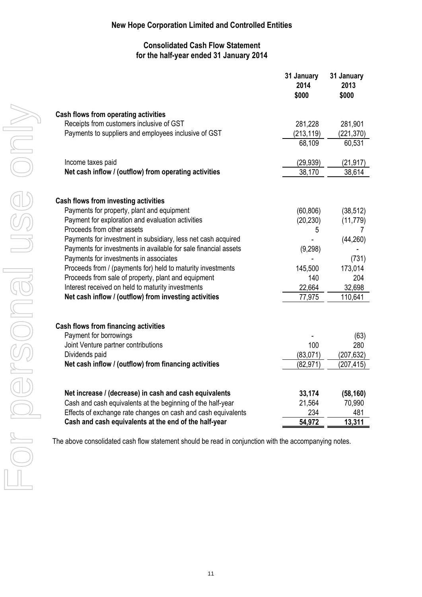## **Consolidated Cash Flow Statement for the half-year ended 31 January 2014**

| Cash flows from operating activities<br>Receipts from customers inclusive of GST<br>Payments to suppliers and employees inclusive of GST<br>Income taxes paid<br>Net cash inflow / (outflow) from operating activities<br><b>Cash flows from investing activities</b><br>Payments for property, plant and equipment<br>Payment for exploration and evaluation activities<br>Proceeds from other assets<br>Payments for investment in subsidiary, less net cash acquired<br>Payments for investments in available for sale financial assets<br>Payments for investments in associates<br>Proceeds from / (payments for) held to maturity investments<br>Proceeds from sale of property, plant and equipment<br>Interest received on held to maturity investments<br>Net cash inflow / (outflow) from investing activities<br><b>Cash flows from financing activities</b><br>Payment for borrowings<br>Joint Venture partner contributions<br>Dividends paid | 281,228<br>(213, 119)<br>68,109<br>(29, 939)<br>38,170 | 281,901<br>(221, 370)<br>60,531<br>(21, 917)<br>38,614 |
|------------------------------------------------------------------------------------------------------------------------------------------------------------------------------------------------------------------------------------------------------------------------------------------------------------------------------------------------------------------------------------------------------------------------------------------------------------------------------------------------------------------------------------------------------------------------------------------------------------------------------------------------------------------------------------------------------------------------------------------------------------------------------------------------------------------------------------------------------------------------------------------------------------------------------------------------------------|--------------------------------------------------------|--------------------------------------------------------|
|                                                                                                                                                                                                                                                                                                                                                                                                                                                                                                                                                                                                                                                                                                                                                                                                                                                                                                                                                            |                                                        |                                                        |
|                                                                                                                                                                                                                                                                                                                                                                                                                                                                                                                                                                                                                                                                                                                                                                                                                                                                                                                                                            |                                                        |                                                        |
|                                                                                                                                                                                                                                                                                                                                                                                                                                                                                                                                                                                                                                                                                                                                                                                                                                                                                                                                                            |                                                        |                                                        |
|                                                                                                                                                                                                                                                                                                                                                                                                                                                                                                                                                                                                                                                                                                                                                                                                                                                                                                                                                            |                                                        |                                                        |
|                                                                                                                                                                                                                                                                                                                                                                                                                                                                                                                                                                                                                                                                                                                                                                                                                                                                                                                                                            |                                                        |                                                        |
|                                                                                                                                                                                                                                                                                                                                                                                                                                                                                                                                                                                                                                                                                                                                                                                                                                                                                                                                                            |                                                        |                                                        |
|                                                                                                                                                                                                                                                                                                                                                                                                                                                                                                                                                                                                                                                                                                                                                                                                                                                                                                                                                            |                                                        |                                                        |
|                                                                                                                                                                                                                                                                                                                                                                                                                                                                                                                                                                                                                                                                                                                                                                                                                                                                                                                                                            | (60, 806)                                              | (38, 512)                                              |
|                                                                                                                                                                                                                                                                                                                                                                                                                                                                                                                                                                                                                                                                                                                                                                                                                                                                                                                                                            | (20, 230)                                              | (11, 779)                                              |
|                                                                                                                                                                                                                                                                                                                                                                                                                                                                                                                                                                                                                                                                                                                                                                                                                                                                                                                                                            | 5                                                      |                                                        |
|                                                                                                                                                                                                                                                                                                                                                                                                                                                                                                                                                                                                                                                                                                                                                                                                                                                                                                                                                            |                                                        | (44, 260)                                              |
|                                                                                                                                                                                                                                                                                                                                                                                                                                                                                                                                                                                                                                                                                                                                                                                                                                                                                                                                                            | (9, 298)                                               |                                                        |
|                                                                                                                                                                                                                                                                                                                                                                                                                                                                                                                                                                                                                                                                                                                                                                                                                                                                                                                                                            |                                                        | (731)                                                  |
|                                                                                                                                                                                                                                                                                                                                                                                                                                                                                                                                                                                                                                                                                                                                                                                                                                                                                                                                                            | 145,500                                                | 173,014                                                |
|                                                                                                                                                                                                                                                                                                                                                                                                                                                                                                                                                                                                                                                                                                                                                                                                                                                                                                                                                            | 140                                                    | 204                                                    |
|                                                                                                                                                                                                                                                                                                                                                                                                                                                                                                                                                                                                                                                                                                                                                                                                                                                                                                                                                            | 22,664                                                 | 32,698                                                 |
|                                                                                                                                                                                                                                                                                                                                                                                                                                                                                                                                                                                                                                                                                                                                                                                                                                                                                                                                                            | 77,975                                                 | 110,641                                                |
|                                                                                                                                                                                                                                                                                                                                                                                                                                                                                                                                                                                                                                                                                                                                                                                                                                                                                                                                                            |                                                        |                                                        |
|                                                                                                                                                                                                                                                                                                                                                                                                                                                                                                                                                                                                                                                                                                                                                                                                                                                                                                                                                            |                                                        | (63)                                                   |
|                                                                                                                                                                                                                                                                                                                                                                                                                                                                                                                                                                                                                                                                                                                                                                                                                                                                                                                                                            | 100                                                    | 280                                                    |
|                                                                                                                                                                                                                                                                                                                                                                                                                                                                                                                                                                                                                                                                                                                                                                                                                                                                                                                                                            | (83, 071)                                              | (207, 632)                                             |
| Net cash inflow / (outflow) from financing activities                                                                                                                                                                                                                                                                                                                                                                                                                                                                                                                                                                                                                                                                                                                                                                                                                                                                                                      | (82, 971)                                              | (207, 415)                                             |
|                                                                                                                                                                                                                                                                                                                                                                                                                                                                                                                                                                                                                                                                                                                                                                                                                                                                                                                                                            |                                                        |                                                        |
| Net increase / (decrease) in cash and cash equivalents                                                                                                                                                                                                                                                                                                                                                                                                                                                                                                                                                                                                                                                                                                                                                                                                                                                                                                     |                                                        | (58, 160)                                              |
| Cash and cash equivalents at the beginning of the half-year<br>Effects of exchange rate changes on cash and cash equivalents                                                                                                                                                                                                                                                                                                                                                                                                                                                                                                                                                                                                                                                                                                                                                                                                                               | 33,174                                                 |                                                        |
| Cash and cash equivalents at the end of the half-year                                                                                                                                                                                                                                                                                                                                                                                                                                                                                                                                                                                                                                                                                                                                                                                                                                                                                                      | 21,564<br>234                                          | 70,990<br>481                                          |

The above consolidated cash flow statement should be read in conjunction with the accompanying notes.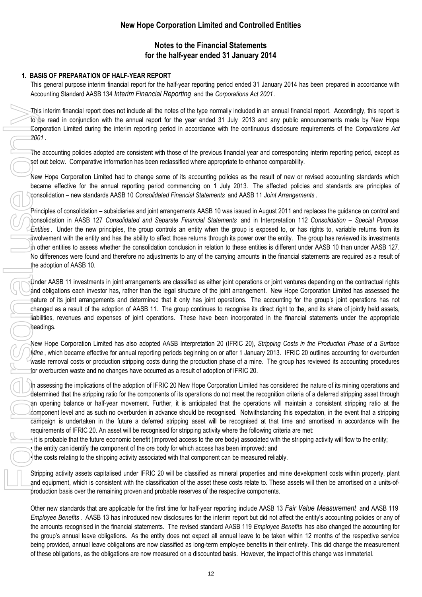## **Notes to the Financial Statements for the half-year ended 31 January 2014**

#### **1. BASIS OF PREPARATION OF HALF-YEAR REPORT**

This general purpose interim financial report for the half-year reporting period ended 31 January 2014 has been prepared in accordance with Accounting Standard AASB 134 *Interim Financial Reporting* and the *Corporations Act 2001* .

This interim financial report does not include all the notes of the type normally included in an annual financial report. Accordingly, this report is to be read in conjunction with the annual report for the year ended 31 July 2013 and any public announcements made by New Hope Corporation Limited during the interim reporting period in accordance with the continuous disclosure requirements of the *Corporations Act 2001* .

The accounting policies adopted are consistent with those of the previous financial year and corresponding interim reporting period, except as set out below. Comparative information has been reclassified where appropriate to enhance comparability.

New Hope Corporation Limited had to change some of its accounting policies as the result of new or revised accounting standards which became effective for the annual reporting period commencing on 1 July 2013. The affected policies and standards are principles of consolidation – new standards AASB 10 *Consolidated Financial Statements* and AASB 11 *Joint Arrangements* .

Principles of consolidation – subsidiaries and joint arrangements AASB 10 was issued in August 2011 and replaces the guidance on control and consolidation in AASB 127 *Consolidated and Separate Financial Statements* and in Interpretation 112 *Consolidation – Special Purpose Entities* . Under the new principles, the group controls an entity when the group is exposed to, or has rights to, variable returns from its involvement with the entity and has the ability to affect those returns through its power over the entity. The group has reviewed its investments in other entities to assess whether the consolidation conclusion in relation to these entities is different under AASB 10 than under AASB 127. No differences were found and therefore no adjustments to any of the carrying amounts in the financial statements are required as a result of the adoption of AASB 10.

Under AASB 11 investments in joint arrangements are classified as either joint operations or joint ventures depending on the contractual rights and obligations each investor has, rather than the legal structure of the joint arrangement. New Hope Corporation Limited has assessed the nature of its joint arrangements and determined that it only has joint operations. The accounting for the group's joint operations has not changed as a result of the adoption of AASB 11. The group continues to recognise its direct right to the, and its share of jointly held assets, liabilities, revenues and expenses of joint operations. These have been incorporated in the financial statements under the appropriate headings.

New Hope Corporation Limited has also adopted AASB Interpretation 20 (IFRIC 20), *Stripping Costs in the Production Phase of a Surface Mine* , which became effective for annual reporting periods beginning on or after 1 January 2013. IFRIC 20 outlines accounting for overburden waste removal costs or production stripping costs during the production phase of a mine. The group has reviewed its accounting procedures for overburden waste and no changes have occurred as a result of adoption of IFRIC 20.

In assessing the implications of the adoption of IFRIC 20 New Hope Corporation Limited has considered the nature of its mining operations and determined that the stripping ratio for the components of its operations do not meet the recognition criteria of a deferred stripping asset through an opening balance or half-year movement. Further, it is anticipated that the operations will maintain a consistent stripping ratio at the component level and as such no overburden in advance should be recognised. Notwithstanding this expectation, in the event that a stripping campaign is undertaken in the future a deferred stripping asset will be recognised at that time and amortised in accordance with the requirements of IFRIC 20. An asset will be recognised for stripping activity where the following criteria are met:

• it is probable that the future economic benefit (improved access to the ore body) associated with the stripping activity will flow to the entity;

• the entity can identify the component of the ore body for which access has been improved; and

• the costs relating to the stripping activity associated with that component can be measured reliably.

Stripping activity assets capitalised under IFRIC 20 will be classified as mineral properties and mine development costs within property, plant and equipment, which is consistent with the classification of the asset these costs relate to. These assets will then be amortised on a units-ofproduction basis over the remaining proven and probable reserves of the respective components.

Other new standards that are applicable for the first time for half-year reporting include AASB 13 *Fair Value Measurement* and AASB 119 *Employee Benefits* . AASB 13 has introduced new disclosures for the interim report but did not affect the entity's accounting policies or any of the amounts recognised in the financial statements. The revised standard AASB 119 *Employee Benefits* has also changed the accounting for the group's annual leave obligations. As the entity does not expect all annual leave to be taken within 12 months of the respective service being provided, annual leave obligations are now classified as long-term employee benefits in their entirety. This did change the measurement of these obligations, as the obligations are now measured on a discounted basis. However, the impact of this change was immaterial.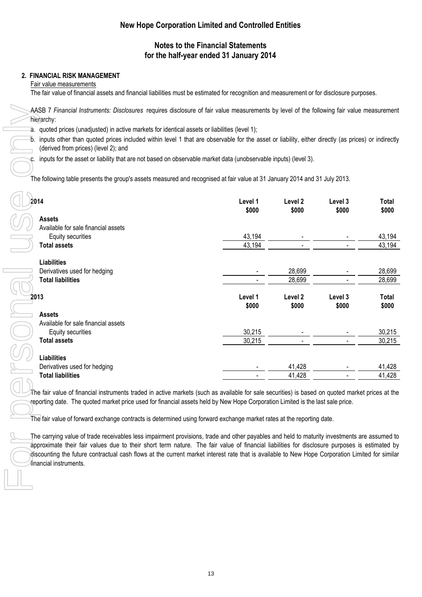# **Notes to the Financial Statements for the half-year ended 31 January 2014**

#### **2. FINANCIAL RISK MANAGEMENT**

Fair value measurements

The fair value of financial assets and financial liabilities must be estimated for recognition and measurement or for disclosure purposes.

AASB 7 *Financial Instruments: Disclosures* requires disclosure of fair value measurements by level of the following fair value measurement hierarchy:

a. quoted prices (unadjusted) in active markets for identical assets or liabilities (level 1);

b. inputs other than quoted prices included within level 1 that are observable for the asset or liability, either directly (as prices) or indirectly (derived from prices) (level 2); and

inputs for the asset or liability that are not based on observable market data (unobservable inputs) (level 3).

The following table presents the group's assets measured and recognised at fair value at 31 January 2014 and 31 July 2013.

| 14                                  | Level 1<br>\$000         | Level 2<br>\$000 | Level 3<br>\$000 | Total<br>\$000 |
|-------------------------------------|--------------------------|------------------|------------------|----------------|
| <b>Assets</b>                       |                          |                  |                  |                |
| Available for sale financial assets |                          |                  |                  |                |
| Equity securities                   | 43,194                   |                  |                  | 43,194         |
| <b>Total assets</b>                 | 43,194                   |                  |                  | 43,194         |
| <b>Liabilities</b>                  |                          |                  |                  |                |
| Derivatives used for hedging        | $\overline{\phantom{a}}$ | 28,699           |                  | 28,699         |
| <b>Total liabilities</b>            |                          | 28,699           |                  | 28,699         |
| 13                                  | Level 1                  | Level 2          | Level 3          | Total          |
|                                     | \$000                    | \$000            | \$000            | \$000          |
| <b>Assets</b>                       |                          |                  |                  |                |
| Available for sale financial assets |                          |                  |                  |                |
| Equity securities                   | 30,215                   |                  |                  | 30,215         |
| <b>Total assets</b>                 | 30,215                   |                  |                  | 30,215         |
| <b>Liabilities</b>                  |                          |                  |                  |                |
| Derivatives used for hedging        |                          | 41,428           |                  | 41,428         |
| <b>Total liabilities</b>            |                          | 41,428           |                  | 41,428         |

 $\pi$ he fair value of financial instruments traded in active markets (such as available for sale securities) is based on quoted market prices at the reporting date. The quoted market price used for financial assets held by New Hope Corporation Limited is the last sale price.

The fair value of forward exchange contracts is determined using forward exchange market rates at the reporting date.

The carrying value of trade receivables less impairment provisions, trade and other payables and held to maturity investments are assumed to approximate their fair values due to their short term nature. The fair value of financial liabilities for disclosure purposes is estimated by discounting the future contractual cash flows at the current market interest rate that is available to New Hope Corporation Limited for similar financial instruments.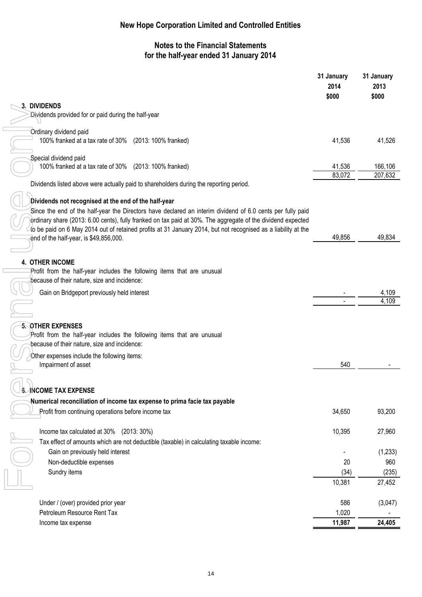# **Notes to the Financial Statements for the half-year ended 31 January 2014**

|                                                                                                                                                                                                                           | 31 January<br>2014<br>\$000 | 31 January<br>2013<br>\$000 |
|---------------------------------------------------------------------------------------------------------------------------------------------------------------------------------------------------------------------------|-----------------------------|-----------------------------|
| 3. DIVIDENDS<br>Dividends provided for or paid during the half-year                                                                                                                                                       |                             |                             |
|                                                                                                                                                                                                                           |                             |                             |
| Ordinary dividend paid<br>100% franked at a tax rate of 30% (2013: 100% franked)                                                                                                                                          | 41,536                      | 41,526                      |
| Special dividend paid                                                                                                                                                                                                     |                             |                             |
| 100% franked at a tax rate of 30% (2013: 100% franked)                                                                                                                                                                    | 41,536                      | 166,106                     |
| Dividends listed above were actually paid to shareholders during the reporting period.                                                                                                                                    | 83,072                      | 207,632                     |
|                                                                                                                                                                                                                           |                             |                             |
| Dividends not recognised at the end of the half-year                                                                                                                                                                      |                             |                             |
| Since the end of the half-year the Directors have declared an interim dividend of 6.0 cents per fully paid<br>ordinary share (2013: 6.00 cents), fully franked on tax paid at 30%. The aggregate of the dividend expected |                             |                             |
| to be paid on 6 May 2014 out of retained profits at 31 January 2014, but not recognised as a liability at the                                                                                                             |                             |                             |
| end of the half-year, is \$49,856,000.                                                                                                                                                                                    | 49,856                      | 49,834                      |
|                                                                                                                                                                                                                           |                             |                             |
| 4. OTHER INCOME                                                                                                                                                                                                           |                             |                             |
| Profit from the half-year includes the following items that are unusual                                                                                                                                                   |                             |                             |
| because of their nature, size and incidence:                                                                                                                                                                              |                             |                             |
| Gain on Bridgeport previously held interest                                                                                                                                                                               |                             | 4,109                       |
|                                                                                                                                                                                                                           |                             | 4,109                       |
|                                                                                                                                                                                                                           |                             |                             |
| 5. OTHER EXPENSES                                                                                                                                                                                                         |                             |                             |
| Profit from the half-year includes the following items that are unusual<br>because of their nature, size and incidence:                                                                                                   |                             |                             |
| Other expenses include the following items:                                                                                                                                                                               |                             |                             |
| Impairment of asset                                                                                                                                                                                                       | 540                         |                             |
|                                                                                                                                                                                                                           |                             |                             |
|                                                                                                                                                                                                                           |                             |                             |
| <b>INCOME TAX EXPENSE</b>                                                                                                                                                                                                 |                             |                             |
| Numerical reconciliation of income tax expense to prima facie tax payable<br>Profit from continuing operations before income tax                                                                                          | 34,650                      | 93,200                      |
|                                                                                                                                                                                                                           |                             |                             |
| Income tax calculated at 30% (2013: 30%)                                                                                                                                                                                  | 10,395                      | 27,960                      |
| Tax effect of amounts which are not deductible (taxable) in calculating taxable income:                                                                                                                                   |                             |                             |
| Gain on previously held interest                                                                                                                                                                                          |                             | (1, 233)                    |
| Non-deductible expenses                                                                                                                                                                                                   | 20                          | 960                         |
| Sundry items                                                                                                                                                                                                              | (34)                        | (235)                       |
|                                                                                                                                                                                                                           | 10,381                      | 27,452                      |
| Under / (over) provided prior year                                                                                                                                                                                        | 586                         | (3,047)                     |
| Petroleum Resource Rent Tax                                                                                                                                                                                               | 1,020                       |                             |
| Income tax expense                                                                                                                                                                                                        | 11,987                      | 24,405                      |
|                                                                                                                                                                                                                           |                             |                             |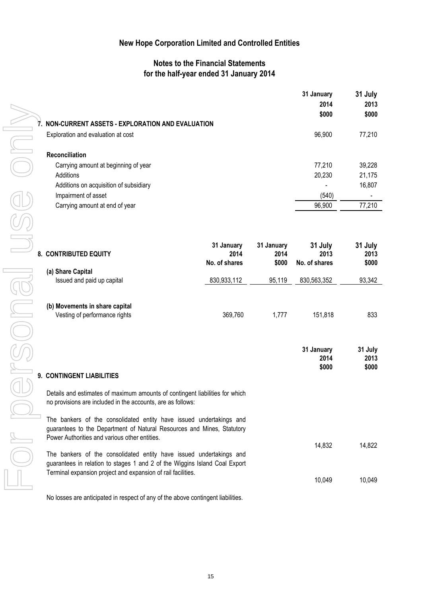### **Notes to the Financial Statements for the half-year ended 31 January 2014**

| 7. NON-CURRENT ASSETS - EXPLORATION AND EVALUATION                                                                                                                                             |                    |                    | 31 January<br>2014<br>\$000 | 31 July<br>2013<br>\$000 |
|------------------------------------------------------------------------------------------------------------------------------------------------------------------------------------------------|--------------------|--------------------|-----------------------------|--------------------------|
| Exploration and evaluation at cost                                                                                                                                                             |                    |                    | 96,900                      | 77,210                   |
| Reconciliation                                                                                                                                                                                 |                    |                    |                             |                          |
| Carrying amount at beginning of year                                                                                                                                                           |                    |                    | 77,210                      | 39,228                   |
| Additions                                                                                                                                                                                      |                    |                    | 20,230                      | 21,175                   |
| Additions on acquisition of subsidiary                                                                                                                                                         |                    |                    |                             | 16,807                   |
| Impairment of asset                                                                                                                                                                            |                    |                    | (540)                       |                          |
| Carrying amount at end of year                                                                                                                                                                 |                    |                    | 96,900                      | 77,210                   |
|                                                                                                                                                                                                |                    |                    |                             |                          |
| 8. CONTRIBUTED EQUITY                                                                                                                                                                          | 31 January<br>2014 | 31 January<br>2014 | 31 July<br>2013             | 31 July<br>2013          |
|                                                                                                                                                                                                | No. of shares      | \$000              | No. of shares               | \$000                    |
| (a) Share Capital                                                                                                                                                                              |                    |                    |                             |                          |
| Issued and paid up capital                                                                                                                                                                     | 830,933,112        | 95,119             | 830,563,352                 | 93,342                   |
| (b) Movements in share capital<br>Vesting of performance rights                                                                                                                                | 369,760            | 1,777              | 151,818                     | 833                      |
|                                                                                                                                                                                                |                    |                    | 31 January<br>2014<br>\$000 | 31 July<br>2013<br>\$000 |
| 9. CONTINGENT LIABILITIES                                                                                                                                                                      |                    |                    |                             |                          |
| Details and estimates of maximum amounts of contingent liabilities for which<br>no provisions are included in the accounts, are as follows:                                                    |                    |                    |                             |                          |
| The bankers of the consolidated entity have issued undertakings and<br>guarantees to the Department of Natural Resources and Mines, Statutory<br>Power Authorities and various other entities. |                    |                    |                             |                          |
| The bankers of the consolidated entity have issued undertakings and<br>guarantees in relation to stages 1 and 2 of the Wiggins Island Coal Export                                              |                    |                    | 14,832                      | 14,822                   |
| Terminal expansion project and expansion of rail facilities.                                                                                                                                   |                    |                    | 10,049                      | 10,049                   |
| No losses are anticipated in respect of any of the above contingent liabilities.                                                                                                               |                    |                    |                             |                          |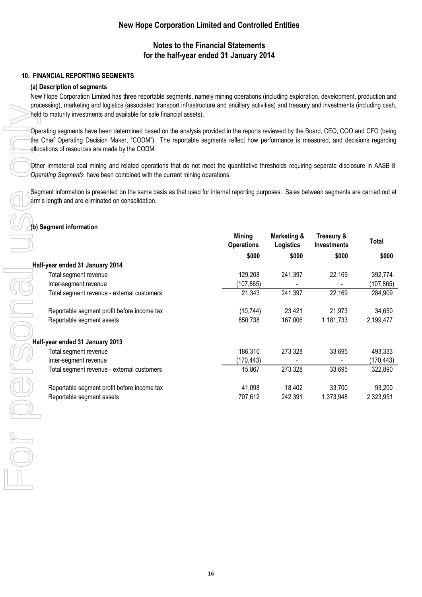### **Notes to the Financial Statements for the half-year ended 31 January 2014**

#### **10. FINANCIAL REPORTING SEGMENTS**

#### **(a) Description of segments**

New Hope Corporation Limited has three reportable segments, namely mining operations (including exploration, development, production and processing), marketing and logistics (associated transport infrastructure and ancillary activities) and treasury and investments (including cash, held to maturity investments and available for sale financial assets).

Operating segments have been determined based on the analysis provided in the reports reviewed by the Board, CEO, COO and CFO (being the Chief Operating Decision Maker, "CODM"). The reportable segments reflect how performance is measured, and decisions regarding allocations of resources are made by the CODM.

Other immaterial coal mining and related operations that do not meet the quantitative thresholds requiring separate disclosure in AASB 8 *Operating Segments* have been combined with the current mining operations.

Segment information is presented on the same basis as that used for internal reporting purposes. Sales between segments are carried out at larm's length and are eliminated on consolidation.

## **(b) Segment information**

|                                             | <b>Mining</b><br><b>Operations</b> | Marketing &<br>Logistics | Treasury &<br><b>Investments</b> | Total     |
|---------------------------------------------|------------------------------------|--------------------------|----------------------------------|-----------|
|                                             |                                    | \$000<br>\$000           | \$000                            | \$000     |
| Half-year ended 31 January 2014             |                                    |                          |                                  |           |
| Total segment revenue                       | 129,208                            | 241,397                  | 22,169                           | 392,774   |
| Inter-segment revenue                       | (107, 865)                         | $\overline{\phantom{a}}$ |                                  | (107,865) |
| Total segment revenue - external customers  | 21,343                             | 241,397                  | 22,169                           | 284,909   |
|                                             |                                    |                          |                                  |           |
| Reportable segment profit before income tax | (10, 744)                          | 23,421                   | 21,973                           | 34,650    |
| Reportable segment assets                   | 850,738                            | 167,006                  | 1,181,733                        | 2,199,477 |
|                                             |                                    |                          |                                  |           |
| Half-year ended 31 January 2013             |                                    |                          |                                  |           |
| Total segment revenue                       | 186,310                            | 273,328                  | 33,695                           | 493,333   |
| Inter-segment revenue                       | (170,443)                          |                          |                                  | (170,443) |
| Total segment revenue - external customers  | 15,867                             | 273,328                  | 33,695                           | 322,890   |
| Reportable segment profit before income tax | 41,098                             | 18,402                   | 33,700                           | 93,200    |
| Reportable segment assets                   | 707,612                            | 242,391                  | 1,373,948                        | 2,323,951 |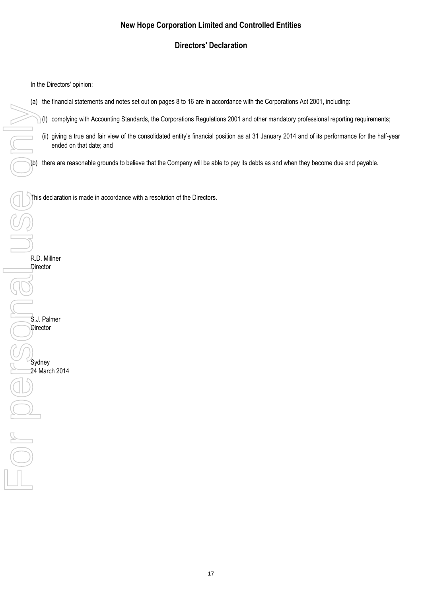# **Directors' Declaration**

In the Directors' opinion:

- (a) the financial statements and notes set out on pages 8 to 16 are in accordance with the Corporations Act 2001, including:
	- (I) complying with Accounting Standards, the Corporations Regulations 2001 and other mandatory professional reporting requirements;
	- (ii) giving a true and fair view of the consolidated entity's financial position as at 31 January 2014 and of its performance for the half-year ended on that date; and

(b) there are reasonable grounds to believe that the Company will be able to pay its debts as and when they become due and payable.

This declaration is made in accordance with a resolution of the Directors.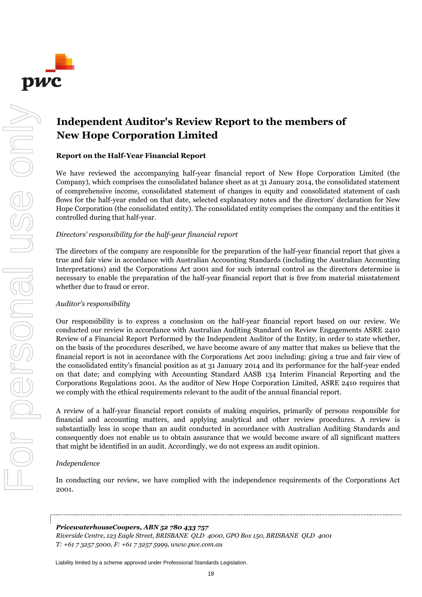

For personal use only

MIUS PORSONS USS ON

# **Independent Auditor's Review Report to the members of New Hope Corporation Limited**

#### **Report on the Half-Year Financial Report**

We have reviewed the accompanying half-year financial report of New Hope Corporation Limited (the Company), which comprises the consolidated balance sheet as at 31 January 2014, the consolidated statement of comprehensive income, consolidated statement of changes in equity and consolidated statement of cash flows for the half-year ended on that date, selected explanatory notes and the directors' declaration for New Hope Corporation (the consolidated entity). The consolidated entity comprises the company and the entities it controlled during that half-year.

#### *Directors' responsibility for the half-year financial report*

The directors of the company are responsible for the preparation of the half-year financial report that gives a true and fair view in accordance with Australian Accounting Standards (including the Australian Accounting Interpretations) and the Corporations Act 2001 and for such internal control as the directors determine is necessary to enable the preparation of the half-year financial report that is free from material misstatement whether due to fraud or error.

#### *Auditor's responsibility*

Our responsibility is to express a conclusion on the half-year financial report based on our review. We conducted our review in accordance with Australian Auditing Standard on Review Engagements ASRE 2410 Review of a Financial Report Performed by the Independent Auditor of the Entity, in order to state whether, on the basis of the procedures described, we have become aware of any matter that makes us believe that the financial report is not in accordance with the Corporations Act 2001 including: giving a true and fair view of the consolidated entity's financial position as at 31 January 2014 and its performance for the half-year ended on that date; and complying with Accounting Standard AASB 134 Interim Financial Reporting and the Corporations Regulations 2001. As the auditor of New Hope Corporation Limited, ASRE 2410 requires that we comply with the ethical requirements relevant to the audit of the annual financial report.

A review of a half-year financial report consists of making enquiries, primarily of persons responsible for financial and accounting matters, and applying analytical and other review procedures. A review is substantially less in scope than an audit conducted in accordance with Australian Auditing Standards and consequently does not enable us to obtain assurance that we would become aware of all significant matters that might be identified in an audit. Accordingly, we do not express an audit opinion.

#### *Independence*

In conducting our review, we have complied with the independence requirements of the Corporations Act 2001.

#### *PricewaterhouseCoopers, ABN 52 780 433 757*

*Riverside Centre, 123 Eagle Street, BRISBANE QLD 4000, GPO Box 150, BRISBANE QLD 4001 T: +61 7 3257 5000, F: +61 7 3257 5999, www.pwc.com.au*

Liability limited by a scheme approved under Professional Standards Legislation.